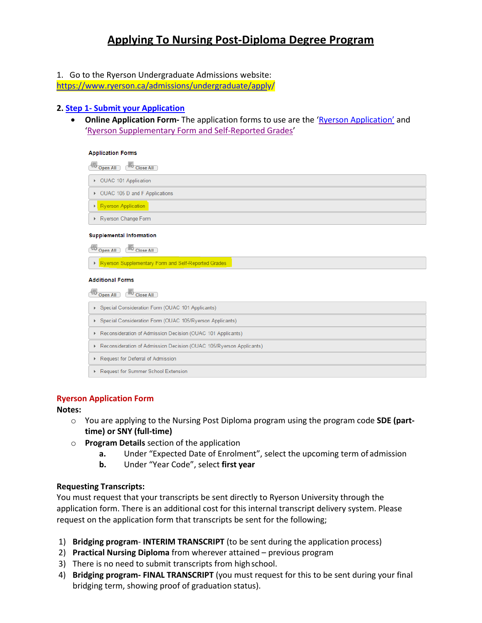# **Applying To Nursing Post-Diploma Degree Program**

1. Go to the Ryerson Undergraduate Admissions website:

[https://www.ryerson.ca/admissions/undergraduate/apply](http://www.ryerson.ca/admissions/undergraduate/apply/)/

## **2. Step 1- Submit your Application**

• **Online Application Form-** The application forms to use are the ['Ryerson Application'](https://www.ryerson.ca/admissions/undergraduate/applications-related-forms/ryerson-application/) and 'Ryerson Supplementary Form and Self-Reported Grades'

| <b>Application Forms</b>                                            |
|---------------------------------------------------------------------|
| 45<br>Close All<br>Open All                                         |
| ▶ OUAC 101 Application                                              |
| ▶ OUAC 105 D and F Applications                                     |
| ▶ Ryerson Application                                               |
| Ryerson Change Form                                                 |
| <b>Supplemental Information</b>                                     |
| Close All<br>Open All                                               |
| ▶ Ryerson Supplementary Form and Self-Reported Grades               |
| <b>Additional Forms</b>                                             |
| <b>Close All</b><br>Open All                                        |
| ▶ Special Consideration Form (OUAC 101 Applicants)                  |
| ▶ Special Consideration Form (OUAC 105/Ryerson Applicants)          |
| Reconsideration of Admission Decision (OUAC 101 Applicants)         |
| Reconsideration of Admission Decision (OUAC 105/Ryerson Applicants) |
| Request for Deferral of Admission                                   |
| <b>Example 15 Summer School Extension</b>                           |

#### **Ryerson Application Form**

#### **Notes:**

- o You are applying to the Nursing Post Diploma program using the program code **SDE (parttime) or SNY (full-time)**
- o **Program Details** section of the application
	- **a.** Under "Expected Date of Enrolment", select the upcoming term of admission
	- **b.** Under "Year Code", select **first year**

## **Requesting Transcripts:**

You must request that your transcripts be sent directly to Ryerson University through the application form. There is an additional cost for this internal transcript delivery system. Please request on the application form that transcripts be sent for the following;

- 1) **Bridging program INTERIM TRANSCRIPT** (to be sent during the application process)
- 2) **Practical Nursing Diploma** from wherever attained previous program
- 3) There is no need to submit transcripts from high school.
- 4) **Bridging program- FINAL TRANSCRIPT** (you must request for this to be sent during your final bridging term, showing proof of graduation status).